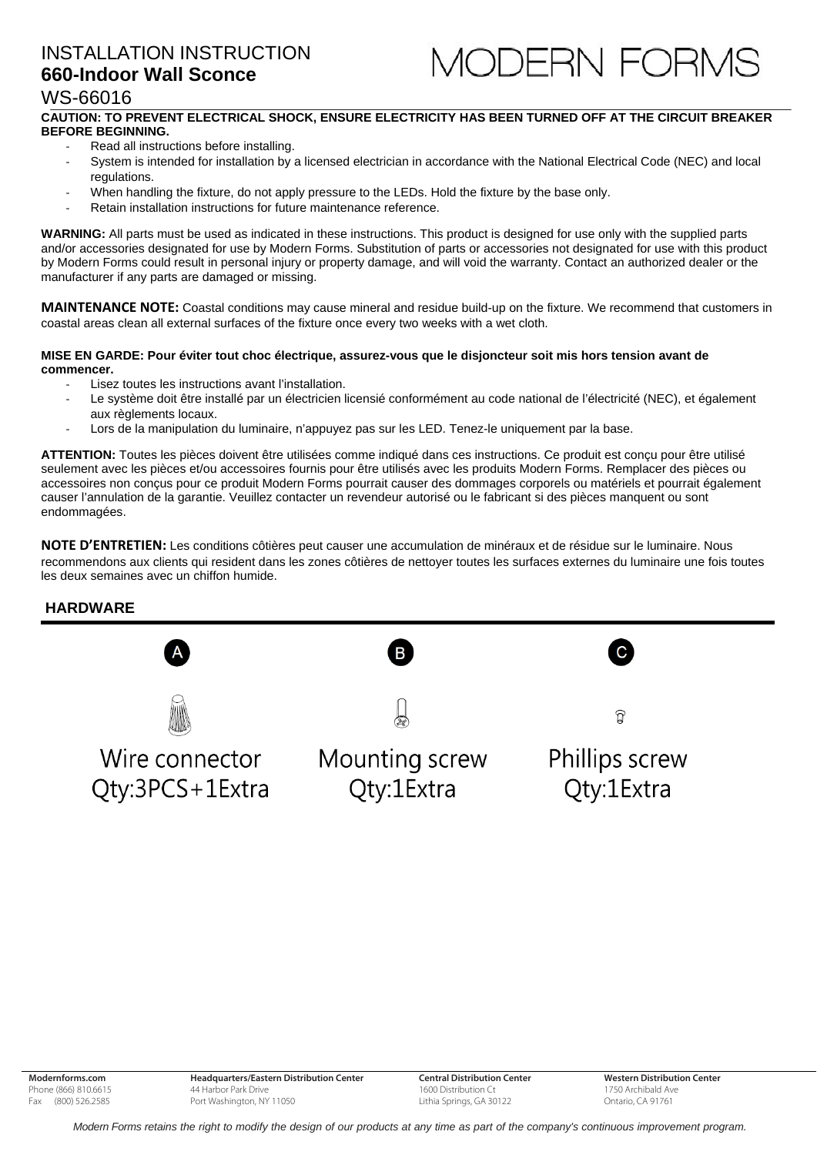## INSTALLATION INSTRUCTION **660-Indoor Wall Sconce**



## WS-66016

#### **CAUTION: TO PREVENT ELECTRICAL SHOCK, ENSURE ELECTRICITY HAS BEEN TURNED OFF AT THE CIRCUIT BREAKER BEFORE BEGINNING.**

- ‐ Read all instructions before installing.
- System is intended for installation by a licensed electrician in accordance with the National Electrical Code (NEC) and local regulations.
- When handling the fixture, do not apply pressure to the LEDs. Hold the fixture by the base only.
- ‐ Retain installation instructions for future maintenance reference.

**WARNING:** All parts must be used as indicated in these instructions. This product is designed for use only with the supplied parts and/or accessories designated for use by Modern Forms. Substitution of parts or accessories not designated for use with this product by Modern Forms could result in personal injury or property damage, and will void the warranty. Contact an authorized dealer or the manufacturer if any parts are damaged or missing.

**MAINTENANCE NOTE:** Coastal conditions may cause mineral and residue build-up on the fixture. We recommend that customers in coastal areas clean all external surfaces of the fixture once every two weeks with a wet cloth.

#### **MISE EN GARDE: Pour éviter tout choc électrique, assurez-vous que le disjoncteur soit mis hors tension avant de commencer.**

- Lisez toutes les instructions avant l'installation.
- Le système doit être installé par un électricien licensié conformément au code national de l'électricité (NEC), et également aux règlements locaux.
- ‐ Lors de la manipulation du luminaire, n'appuyez pas sur les LED. Tenez-le uniquement par la base.

**ATTENTION:** Toutes les pièces doivent être utilisées comme indiqué dans ces instructions. Ce produit est conçu pour être utilisé seulement avec les pièces et/ou accessoires fournis pour être utilisés avec les produits Modern Forms. Remplacer des pièces ou accessoires non conçus pour ce produit Modern Forms pourrait causer des dommages corporels ou matériels et pourrait également causer l'annulation de la garantie. Veuillez contacter un revendeur autorisé ou le fabricant si des pièces manquent ou sont endommagées.

**NOTE D'ENTRETIEN:** Les conditions côtières peut causer une accumulation de minéraux et de résidue sur le luminaire. Nous recommendons aux clients qui resident dans les zones côtières de nettoyer toutes les surfaces externes du luminaire une fois toutes les deux semaines avec un chiffon humide.

#### **HARDWARE**



**Central Distribution Center** 1600 Distribution Ct Lithia Springs, GA 30122